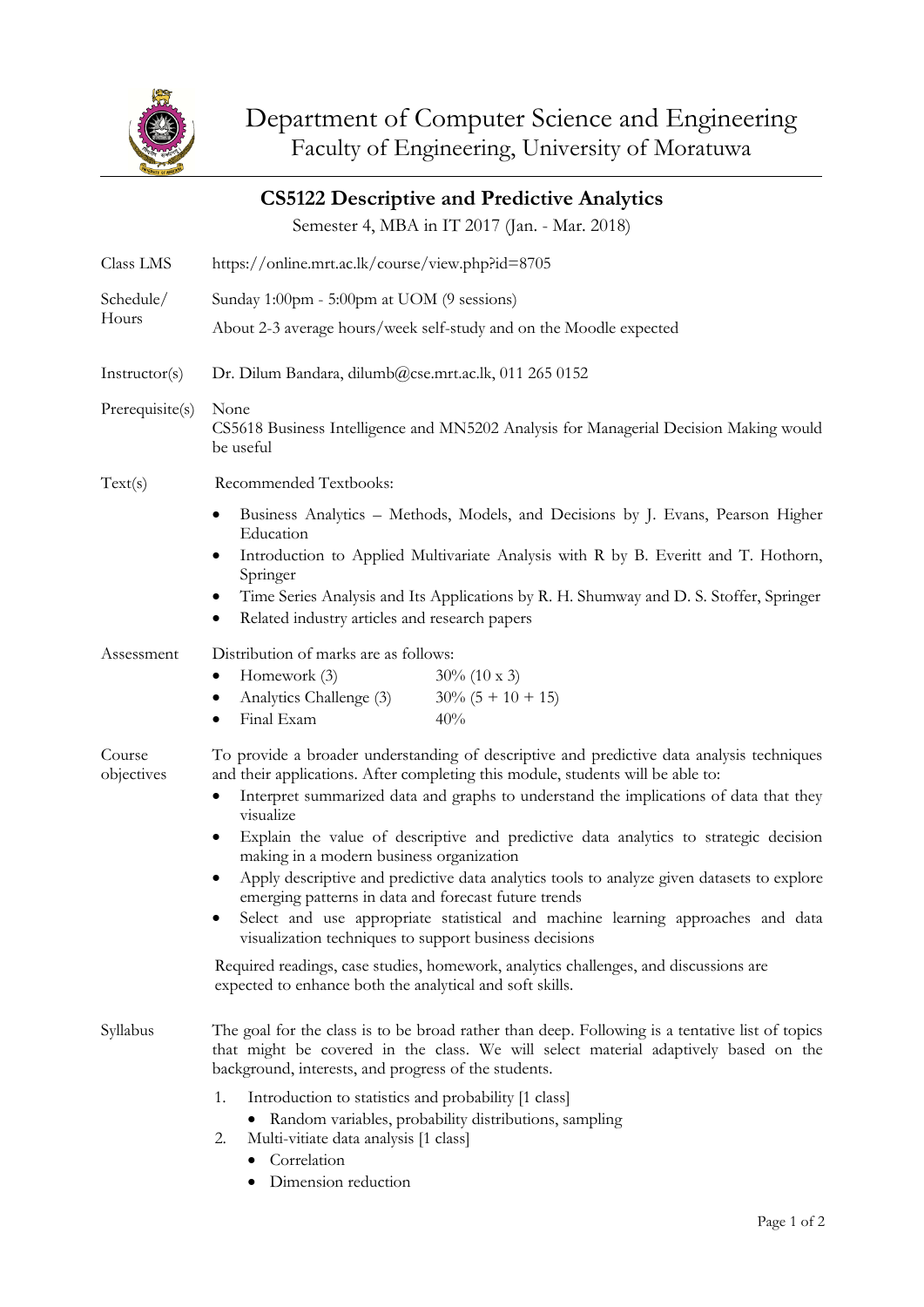

| <b>CS5122 Descriptive and Predictive Analytics</b> |                                                                                                                                                                                                                                                                                                                                                                                                                                                                                                                                                                                                                                                                                                                                                                                                                        |
|----------------------------------------------------|------------------------------------------------------------------------------------------------------------------------------------------------------------------------------------------------------------------------------------------------------------------------------------------------------------------------------------------------------------------------------------------------------------------------------------------------------------------------------------------------------------------------------------------------------------------------------------------------------------------------------------------------------------------------------------------------------------------------------------------------------------------------------------------------------------------------|
|                                                    | Semester 4, MBA in IT 2017 (Jan. - Mar. 2018)                                                                                                                                                                                                                                                                                                                                                                                                                                                                                                                                                                                                                                                                                                                                                                          |
| Class LMS                                          | https://online.mrt.ac.lk/course/view.php?id=8705                                                                                                                                                                                                                                                                                                                                                                                                                                                                                                                                                                                                                                                                                                                                                                       |
| Schedule/<br>Hours                                 | Sunday 1:00pm - 5:00pm at UOM (9 sessions)                                                                                                                                                                                                                                                                                                                                                                                                                                                                                                                                                                                                                                                                                                                                                                             |
|                                                    | About 2-3 average hours/week self-study and on the Moodle expected                                                                                                                                                                                                                                                                                                                                                                                                                                                                                                                                                                                                                                                                                                                                                     |
| Instructor(s)                                      | Dr. Dilum Bandara, dilumb@cse.mrt.ac.lk, 011 265 0152                                                                                                                                                                                                                                                                                                                                                                                                                                                                                                                                                                                                                                                                                                                                                                  |
| Prerequisite(s)                                    | None<br>CS5618 Business Intelligence and MN5202 Analysis for Managerial Decision Making would<br>be useful                                                                                                                                                                                                                                                                                                                                                                                                                                                                                                                                                                                                                                                                                                             |
| Text(s)                                            | Recommended Textbooks:                                                                                                                                                                                                                                                                                                                                                                                                                                                                                                                                                                                                                                                                                                                                                                                                 |
|                                                    | Business Analytics – Methods, Models, and Decisions by J. Evans, Pearson Higher<br>٠<br>Education                                                                                                                                                                                                                                                                                                                                                                                                                                                                                                                                                                                                                                                                                                                      |
|                                                    | Introduction to Applied Multivariate Analysis with R by B. Everitt and T. Hothorn,<br>Springer                                                                                                                                                                                                                                                                                                                                                                                                                                                                                                                                                                                                                                                                                                                         |
|                                                    | Time Series Analysis and Its Applications by R. H. Shumway and D. S. Stoffer, Springer<br>Related industry articles and research papers<br>٠                                                                                                                                                                                                                                                                                                                                                                                                                                                                                                                                                                                                                                                                           |
| Assessment                                         | Distribution of marks are as follows:<br>Homework (3)<br>$30\%$ (10 x 3)<br>Analytics Challenge (3)<br>$30\% (5 + 10 + 15)$<br>Final Exam<br>40%<br>٠                                                                                                                                                                                                                                                                                                                                                                                                                                                                                                                                                                                                                                                                  |
| Course<br>objectives                               | To provide a broader understanding of descriptive and predictive data analysis techniques<br>and their applications. After completing this module, students will be able to:<br>Interpret summarized data and graphs to understand the implications of data that they<br>visualize<br>Explain the value of descriptive and predictive data analytics to strategic decision<br>٠<br>making in a modern business organization<br>Apply descriptive and predictive data analytics tools to analyze given datasets to explore<br>emerging patterns in data and forecast future trends<br>Select and use appropriate statistical and machine learning approaches and data<br>visualization techniques to support business decisions<br>Required readings, case studies, homework, analytics challenges, and discussions are |
| Syllabus                                           | expected to enhance both the analytical and soft skills.<br>The goal for the class is to be broad rather than deep. Following is a tentative list of topics<br>that might be covered in the class. We will select material adaptively based on the<br>background, interests, and progress of the students.<br>1.<br>Introduction to statistics and probability [1 class]<br>Random variables, probability distributions, sampling<br>٠<br>2.<br>Multi-vitiate data analysis [1 class]<br>• Correlation                                                                                                                                                                                                                                                                                                                 |

• Dimension reduction